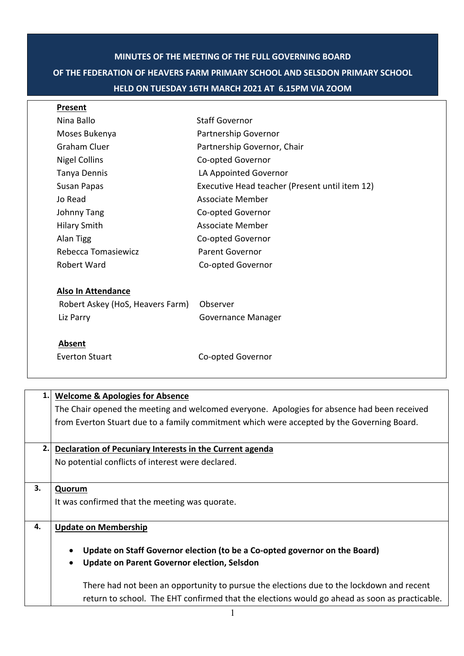## **MINUTES OF THE MEETING OF THE FULL GOVERNING BOARD OF THE FEDERATION OF HEAVERS FARM PRIMARY SCHOOL AND SELSDON PRIMARY SCHOOL HELD ON TUESDAY 16TH MARCH 2021 AT 6.15PM VIA ZOOM**

| Present                          |                                                |
|----------------------------------|------------------------------------------------|
| Nina Ballo                       | <b>Staff Governor</b>                          |
| Moses Bukenya                    | Partnership Governor                           |
| Graham Cluer                     | Partnership Governor, Chair                    |
| <b>Nigel Collins</b>             | Co-opted Governor                              |
| Tanya Dennis                     | LA Appointed Governor                          |
| Susan Papas                      | Executive Head teacher (Present until item 12) |
| Jo Read                          | Associate Member                               |
| Johnny Tang                      | Co-opted Governor                              |
| <b>Hilary Smith</b>              | Associate Member                               |
| Alan Tigg                        | Co-opted Governor                              |
| Rebecca Tomasiewicz              | <b>Parent Governor</b>                         |
| Robert Ward                      | Co-opted Governor                              |
| <b>Also In Attendance</b>        |                                                |
| Robert Askey (HoS, Heavers Farm) | Observer                                       |
| Liz Parry                        | <b>Governance Manager</b>                      |
| Absent                           |                                                |
| Everton Stuart                   | Co-opted Governor                              |

| 1.1 | <b>Welcome &amp; Apologies for Absence</b>                                                    |
|-----|-----------------------------------------------------------------------------------------------|
|     | The Chair opened the meeting and welcomed everyone. Apologies for absence had been received   |
|     | from Everton Stuart due to a family commitment which were accepted by the Governing Board.    |
| 2.1 | Declaration of Pecuniary Interests in the Current agenda                                      |
|     | No potential conflicts of interest were declared.                                             |
| 3.  | Quorum                                                                                        |
|     | It was confirmed that the meeting was quorate.                                                |
| 4.  | <b>Update on Membership</b>                                                                   |
|     | Update on Staff Governor election (to be a Co-opted governor on the Board)<br>$\bullet$       |
|     | <b>Update on Parent Governor election, Selsdon</b><br>$\bullet$                               |
|     | There had not been an opportunity to pursue the elections due to the lockdown and recent      |
|     | return to school. The EHT confirmed that the elections would go ahead as soon as practicable. |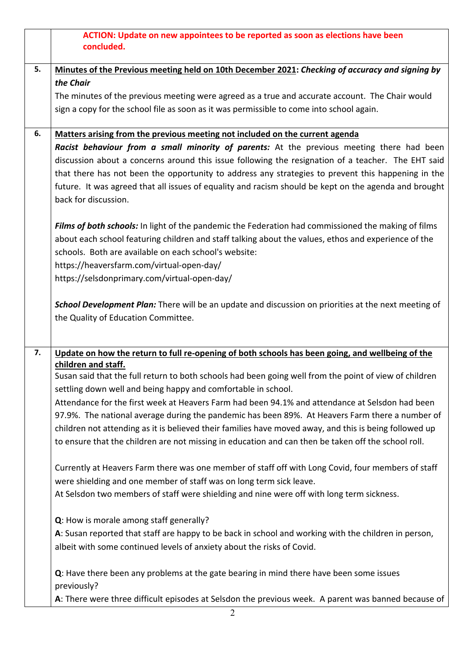|    | ACTION: Update on new appointees to be reported as soon as elections have been<br>concluded.                                                                            |
|----|-------------------------------------------------------------------------------------------------------------------------------------------------------------------------|
| 5. | Minutes of the Previous meeting held on 10th December 2021: Checking of accuracy and signing by                                                                         |
|    | the Chair                                                                                                                                                               |
|    | The minutes of the previous meeting were agreed as a true and accurate account. The Chair would                                                                         |
|    | sign a copy for the school file as soon as it was permissible to come into school again.                                                                                |
| 6. | Matters arising from the previous meeting not included on the current agenda                                                                                            |
|    | Racist behaviour from a small minority of parents: At the previous meeting there had been                                                                               |
|    | discussion about a concerns around this issue following the resignation of a teacher. The EHT said                                                                      |
|    | that there has not been the opportunity to address any strategies to prevent this happening in the                                                                      |
|    | future. It was agreed that all issues of equality and racism should be kept on the agenda and brought<br>back for discussion.                                           |
|    | Films of both schools: In light of the pandemic the Federation had commissioned the making of films                                                                     |
|    | about each school featuring children and staff talking about the values, ethos and experience of the                                                                    |
|    | schools. Both are available on each school's website:                                                                                                                   |
|    | https://heaversfarm.com/virtual-open-day/                                                                                                                               |
|    | https://selsdonprimary.com/virtual-open-day/                                                                                                                            |
|    | School Development Plan: There will be an update and discussion on priorities at the next meeting of                                                                    |
|    | the Quality of Education Committee.                                                                                                                                     |
| 7. | Update on how the return to full re-opening of both schools has been going, and wellbeing of the                                                                        |
|    | children and staff.                                                                                                                                                     |
|    | Susan said that the full return to both schools had been going well from the point of view of children<br>settling down well and being happy and comfortable in school. |
|    | Attendance for the first week at Heavers Farm had been 94.1% and attendance at Selsdon had been                                                                         |
|    | 97.9%. The national average during the pandemic has been 89%. At Heavers Farm there a number of                                                                         |
|    | children not attending as it is believed their families have moved away, and this is being followed up                                                                  |
|    | to ensure that the children are not missing in education and can then be taken off the school roll.                                                                     |
|    | Currently at Heavers Farm there was one member of staff off with Long Covid, four members of staff                                                                      |
|    | were shielding and one member of staff was on long term sick leave.                                                                                                     |
|    | At Selsdon two members of staff were shielding and nine were off with long term sickness.                                                                               |
|    | Q: How is morale among staff generally?                                                                                                                                 |
|    | A: Susan reported that staff are happy to be back in school and working with the children in person,                                                                    |
|    | albeit with some continued levels of anxiety about the risks of Covid.                                                                                                  |
|    | Q: Have there been any problems at the gate bearing in mind there have been some issues<br>previously?                                                                  |
|    | A: There were three difficult episodes at Selsdon the previous week. A parent was banned because of                                                                     |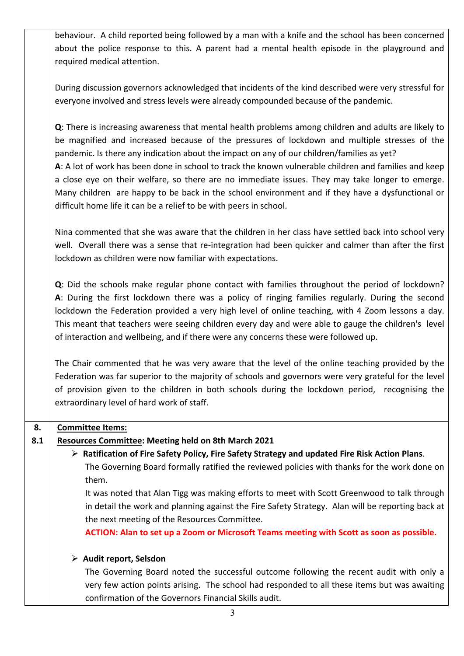behaviour. A child reported being followed by a man with a knife and the school has been concerned about the police response to this. A parent had a mental health episode in the playground and required medical attention. During discussion governors acknowledged that incidents of the kind described were very stressful for everyone involved and stress levels were already compounded because of the pandemic. **Q**: There is increasing awareness that mental health problems among children and adults are likely to be magnified and increased because of the pressures of lockdown and multiple stresses of the pandemic. Is there any indication about the impact on any of our children/families as yet? **A**: A lot of work has been done in school to track the known vulnerable children and families and keep a close eye on their welfare, so there are no immediate issues. They may take longer to emerge. Many children are happy to be back in the school environment and if they have a dysfunctional or difficult home life it can be a relief to be with peers in school. Nina commented that she was aware that the children in her class have settled back into school very well. Overall there was a sense that re-integration had been quicker and calmer than after the first lockdown as children were now familiar with expectations. **Q**: Did the schools make regular phone contact with families throughout the period of lockdown? **A**: During the first lockdown there was a policy of ringing families regularly. During the second lockdown the Federation provided a very high level of online teaching, with 4 Zoom lessons a day. This meant that teachers were seeing children every day and were able to gauge the children's level of interaction and wellbeing, and if there were any concerns these were followed up. The Chair commented that he was very aware that the level of the online teaching provided by the Federation was far superior to the majority of schools and governors were very grateful for the level of provision given to the children in both schools during the lockdown period, recognising the extraordinary level of hard work of staff. **8. 8.1 Committee Items: Resources Committee: Meeting held on 8th March 2021** Ø **Ratification of Fire Safety Policy, Fire Safety Strategy and updated Fire Risk Action Plans**. The Governing Board formally ratified the reviewed policies with thanks for the work done on them. It was noted that Alan Tigg was making efforts to meet with Scott Greenwood to talk through in detail the work and planning against the Fire Safety Strategy. Alan will be reporting back at the next meeting of the Resources Committee. **ACTION: Alan to set up a Zoom or Microsoft Teams meeting with Scott as soon as possible.** Ø **Audit report, Selsdon** The Governing Board noted the successful outcome following the recent audit with only a very few action points arising. The school had responded to all these items but was awaiting confirmation of the Governors Financial Skills audit.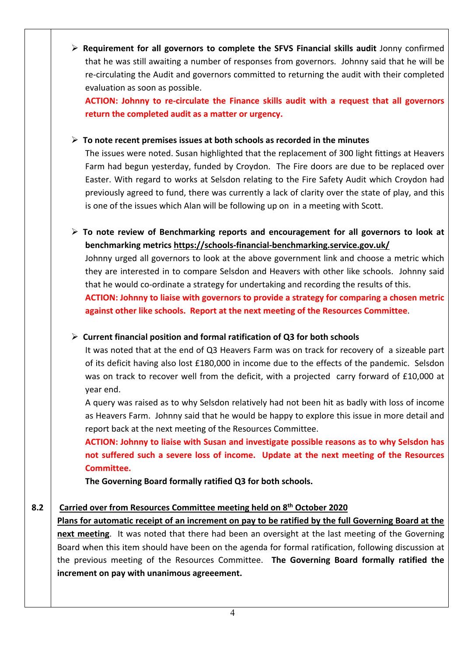Ø **Requirement for all governors to complete the SFVS Financial skills audit** Jonny confirmed that he was still awaiting a number of responses from governors. Johnny said that he will be re-circulating the Audit and governors committed to returning the audit with their completed evaluation as soon as possible.

**ACTION: Johnny to re-circulate the Finance skills audit with a request that all governors return the completed audit as a matter or urgency.**

## Ø **To note recent premises issues at both schools as recorded in the minutes**

The issues were noted. Susan highlighted that the replacement of 300 light fittings at Heavers Farm had begun yesterday, funded by Croydon. The Fire doors are due to be replaced over Easter. With regard to works at Selsdon relating to the Fire Safety Audit which Croydon had previously agreed to fund, there was currently a lack of clarity over the state of play, and this is one of the issues which Alan will be following up on in a meeting with Scott.

Ø **To note review of Benchmarking reports and encouragement for all governors to look at benchmarking metrics https://schools-financial-benchmarking.service.gov.uk/**

Johnny urged all governors to look at the above government link and choose a metric which they are interested in to compare Selsdon and Heavers with other like schools. Johnny said that he would co-ordinate a strategy for undertaking and recording the results of this.

**ACTION: Johnny to liaise with governors to provide a strategy for comparing a chosen metric against other like schools. Report at the next meeting of the Resources Committee**.

Ø **Current financial position and formal ratification of Q3 for both schools**

It was noted that at the end of Q3 Heavers Farm was on track for recovery of a sizeable part of its deficit having also lost £180,000 in income due to the effects of the pandemic. Selsdon was on track to recover well from the deficit, with a projected carry forward of £10,000 at year end.

A query was raised as to why Selsdon relatively had not been hit as badly with loss of income as Heavers Farm. Johnny said that he would be happy to explore this issue in more detail and report back at the next meeting of the Resources Committee.

**ACTION: Johnny to liaise with Susan and investigate possible reasons as to why Selsdon has not suffered such a severe loss of income. Update at the next meeting of the Resources Committee.**

**The Governing Board formally ratified Q3 for both schools.**

## **8.2 Carried over from Resources Committee meeting held on 8th October 2020**

**Plans for automatic receipt of an increment on pay to be ratified by the full Governing Board at the next meeting**. It was noted that there had been an oversight at the last meeting of the Governing Board when this item should have been on the agenda for formal ratification, following discussion at the previous meeting of the Resources Committee. **The Governing Board formally ratified the increment on pay with unanimous agreeement.**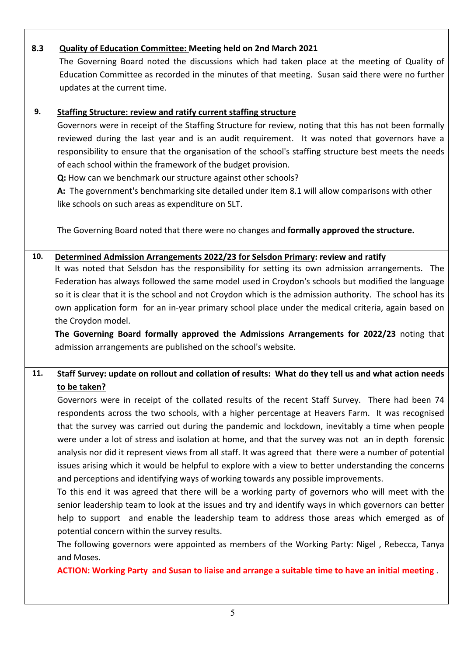| 8.3 | Quality of Education Committee: Meeting held on 2nd March 2021                                            |
|-----|-----------------------------------------------------------------------------------------------------------|
|     | The Governing Board noted the discussions which had taken place at the meeting of Quality of              |
|     | Education Committee as recorded in the minutes of that meeting. Susan said there were no further          |
|     | updates at the current time.                                                                              |
|     |                                                                                                           |
| 9.  | <b>Staffing Structure: review and ratify current staffing structure</b>                                   |
|     | Governors were in receipt of the Staffing Structure for review, noting that this has not been formally    |
|     | reviewed during the last year and is an audit requirement. It was noted that governors have a             |
|     | responsibility to ensure that the organisation of the school's staffing structure best meets the needs    |
|     | of each school within the framework of the budget provision.                                              |
|     | Q: How can we benchmark our structure against other schools?                                              |
|     | A: The government's benchmarking site detailed under item 8.1 will allow comparisons with other           |
|     | like schools on such areas as expenditure on SLT.                                                         |
|     | The Governing Board noted that there were no changes and formally approved the structure.                 |
|     |                                                                                                           |
| 10. | Determined Admission Arrangements 2022/23 for Selsdon Primary: review and ratify                          |
|     | It was noted that Selsdon has the responsibility for setting its own admission arrangements. The          |
|     | Federation has always followed the same model used in Croydon's schools but modified the language         |
|     | so it is clear that it is the school and not Croydon which is the admission authority. The school has its |
|     | own application form for an in-year primary school place under the medical criteria, again based on       |
|     | the Croydon model.                                                                                        |
|     | The Governing Board formally approved the Admissions Arrangements for 2022/23 noting that                 |
|     | admission arrangements are published on the school's website.                                             |
|     |                                                                                                           |
| 11. | Staff Survey: update on rollout and collation of results: What do they tell us and what action needs      |
|     | to be taken?                                                                                              |
|     | Governors were in receipt of the collated results of the recent Staff Survey. There had been 74           |
|     | respondents across the two schools, with a higher percentage at Heavers Farm. It was recognised           |
|     | that the survey was carried out during the pandemic and lockdown, inevitably a time when people           |
|     | were under a lot of stress and isolation at home, and that the survey was not an in depth forensic        |
|     | analysis nor did it represent views from all staff. It was agreed that there were a number of potential   |
|     | issues arising which it would be helpful to explore with a view to better understanding the concerns      |
|     | and perceptions and identifying ways of working towards any possible improvements.                        |
|     | To this end it was agreed that there will be a working party of governors who will meet with the          |
|     | senior leadership team to look at the issues and try and identify ways in which governors can better      |
|     | help to support and enable the leadership team to address those areas which emerged as of                 |
|     | potential concern within the survey results.                                                              |
|     | The following governors were appointed as members of the Working Party: Nigel, Rebecca, Tanya             |
|     | and Moses.                                                                                                |
|     | ACTION: Working Party and Susan to liaise and arrange a suitable time to have an initial meeting.         |
|     |                                                                                                           |

 $\overline{\phantom{a}}$ 

Τ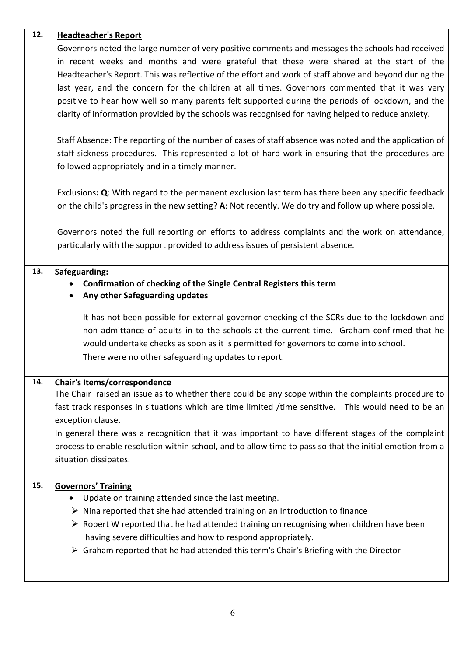| 12. | <b>Headteacher's Report</b>                                                                                              |
|-----|--------------------------------------------------------------------------------------------------------------------------|
|     | Governors noted the large number of very positive comments and messages the schools had received                         |
|     | in recent weeks and months and were grateful that these were shared at the start of the                                  |
|     | Headteacher's Report. This was reflective of the effort and work of staff above and beyond during the                    |
|     | last year, and the concern for the children at all times. Governors commented that it was very                           |
|     | positive to hear how well so many parents felt supported during the periods of lockdown, and the                         |
|     | clarity of information provided by the schools was recognised for having helped to reduce anxiety.                       |
|     | Staff Absence: The reporting of the number of cases of staff absence was noted and the application of                    |
|     | staff sickness procedures. This represented a lot of hard work in ensuring that the procedures are                       |
|     | followed appropriately and in a timely manner.                                                                           |
|     | Exclusions: Q: With regard to the permanent exclusion last term has there been any specific feedback                     |
|     | on the child's progress in the new setting? A: Not recently. We do try and follow up where possible.                     |
|     | Governors noted the full reporting on efforts to address complaints and the work on attendance,                          |
|     | particularly with the support provided to address issues of persistent absence.                                          |
| 13. | Safeguarding:                                                                                                            |
|     | Confirmation of checking of the Single Central Registers this term                                                       |
|     | Any other Safeguarding updates                                                                                           |
|     | It has not been possible for external governor checking of the SCRs due to the lockdown and                              |
|     | non admittance of adults in to the schools at the current time. Graham confirmed that he                                 |
|     | would undertake checks as soon as it is permitted for governors to come into school.                                     |
|     | There were no other safeguarding updates to report.                                                                      |
| 14. | Chair's Items/correspondence                                                                                             |
|     | The Chair raised an issue as to whether there could be any scope within the complaints procedure to                      |
|     | fast track responses in situations which are time limited /time sensitive. This would need to be an<br>exception clause. |
|     | In general there was a recognition that it was important to have different stages of the complaint                       |
|     | process to enable resolution within school, and to allow time to pass so that the initial emotion from a                 |
|     | situation dissipates.                                                                                                    |
| 15. | <b>Governors' Training</b>                                                                                               |
|     | Update on training attended since the last meeting.<br>$\bullet$                                                         |
|     | $\triangleright$ Nina reported that she had attended training on an Introduction to finance                              |
|     | $\triangleright$ Robert W reported that he had attended training on recognising when children have been                  |
|     | having severe difficulties and how to respond appropriately.                                                             |
|     | > Graham reported that he had attended this term's Chair's Briefing with the Director                                    |
|     |                                                                                                                          |